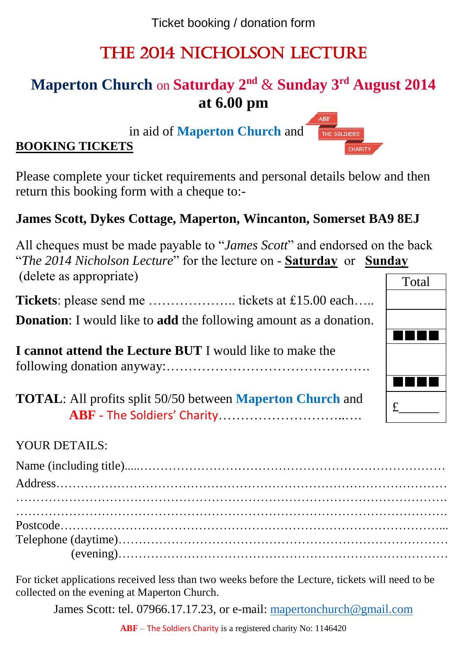Ticket booking / donation form

# The 2014 Nicholson Lecture

## **Maperton Church** on **Saturday 2nd** & **Sunday 3rd August 2014 at 6.00 pm**

in aid of **Maperton Church** and

## **BOOKING TICKETS**

Please complete your ticket requirements and personal details below and then return this booking form with a cheque to:-

## **James Scott, Dykes Cottage, Maperton, Wincanton, Somerset BA9 8EJ**

All cheques must be made payable to "*James Scott*" and endorsed on the back "*The 2014 Nicholson Lecture*" for the lecture on - **Saturday** or **Sunday** (delete as appropriate) Total

**Tickets**: please send me ……………….. tickets at £15.00 each…..

**Donation**: I would like to **add** the following amount as a donation.

**I cannot attend the Lecture BUT** I would like to make the following donation anyway:……………………………………….

**TOTAL**: All profits split 50/50 between **Maperton Church** and **ABF** - The Soldiers' Charity………………………..….

#### YOUR DETAILS:

For ticket applications received less than two weeks before the Lecture, tickets will need to be collected on the evening at Maperton Church.

James Scott: tel. 07966.17.17.23, or e-mail: [mapertonchurch@gmail.com](mailto:mapertonchurch@gmail.com)